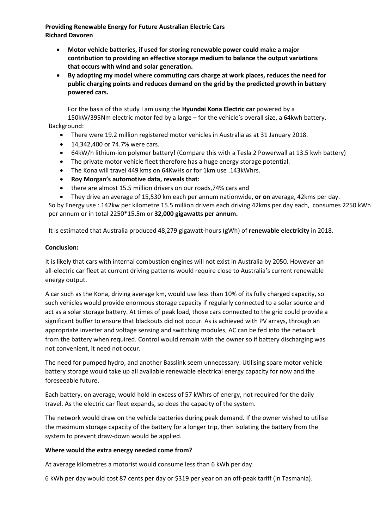**Providing Renewable Energy for Future Australian Electric Cars Richard Davoren**

- **Motor vehicle batteries, if used for storing renewable power could make a major contribution to providing an effective storage medium to balance the output variations that occurs with wind and solar generation.**
- **By adopting my model where commuting cars charge at work places, reduces the need for public charging points and reduces demand on the grid by the predicted growth in battery powered cars.**

For the basis of this study I am using the **Hyundai Kona Electric car** powered by a 150kW/395Nm electric motor fed by a large – for the vehicle's overall size, a 64kwh battery.

Background:

- There were 19.2 million registered motor vehicles in Australia as at 31 January 2018.
- 14,342,400 or 74.7% were cars.
- 64kW/h lithium-ion polymer battery! (Compare this with a Tesla 2 Powerwall at 13.5 kwh battery)
- The private motor vehicle fleet therefore has a huge energy storage potential.
- The Kona will travel 449 kms on 64KwHs or for 1km use .143kWhrs.
- **Roy Morgan's automotive data, reveals that:**
- there are almost 15.5 million drivers on our roads,74% cars and
- They drive an average of 15,530 km each per annum nationwide**, or on** average, 42kms per day. So by Energy use :.142kw per kilometre 15.5 million drivers each driving 42kms per day each, consumes 2250 kWh per annum or in total 2250\*15.5m or **32,000 gigawatts per annum.**

It is estimated that Australia produced 48,279 gigawatt-hours (gWh) of **renewable electricity** in 2018.

## **Conclusion:**

It is likely that cars with internal combustion engines will not exist in Australia by 2050. However an all-electric car fleet at current driving patterns would require close to Australia's current renewable energy output.

A car such as the Kona, driving average km, would use less than 10% of its fully charged capacity, so such vehicles would provide enormous storage capacity if regularly connected to a solar source and act as a solar storage battery. At times of peak load, those cars connected to the grid could provide a significant buffer to ensure that blackouts did not occur. As is achieved with PV arrays, through an appropriate inverter and voltage sensing and switching modules, AC can be fed into the network from the battery when required. Control would remain with the owner so if battery discharging was not convenient, it need not occur.

The need for pumped hydro, and another Basslink seem unnecessary. Utilising spare motor vehicle battery storage would take up all available renewable electrical energy capacity for now and the foreseeable future.

Each battery, on average, would hold in excess of 57 kWhrs of energy, not required for the daily travel. As the electric car fleet expands, so does the capacity of the system.

The network would draw on the vehicle batteries during peak demand. If the owner wished to utilise the maximum storage capacity of the battery for a longer trip, then isolating the battery from the system to prevent draw-down would be applied.

## **Where would the extra energy needed come from?**

At average kilometres a motorist would consume less than 6 kWh per day.

6 kWh per day would cost 87 cents per day or \$319 per year on an off-peak tariff (in Tasmania).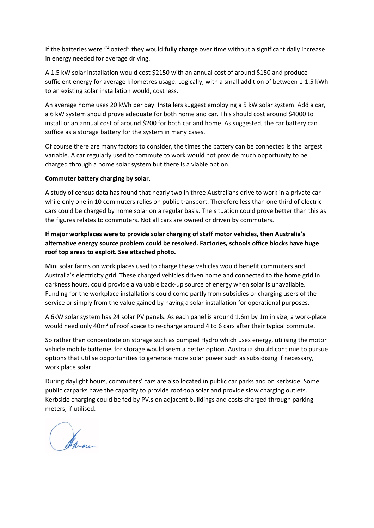If the batteries were "floated" they would **fully charge** over time without a significant daily increase in energy needed for average driving.

A 1.5 kW solar installation would cost \$2150 with an annual cost of around \$150 and produce sufficient energy for average kilometres usage. Logically, with a small addition of between 1-1.5 kWh to an existing solar installation would, cost less.

An average home uses 20 kWh per day. Installers suggest employing a 5 kW solar system. Add a car, a 6 kW system should prove adequate for both home and car. This should cost around \$4000 to install or an annual cost of around \$200 for both car and home. As suggested, the car battery can suffice as a storage battery for the system in many cases.

Of course there are many factors to consider, the times the battery can be connected is the largest variable. A car regularly used to commute to work would not provide much opportunity to be charged through a home solar system but there is a viable option.

## **Commuter battery charging by solar.**

A study of census data has found that nearly two in three Australians drive to work in a private car while only one in 10 commuters relies on public transport. Therefore less than one third of electric cars could be charged by home solar on a regular basis. The situation could prove better than this as the figures relates to commuters. Not all cars are owned or driven by commuters.

## **If major workplaces were to provide solar charging of staff motor vehicles, then Australia's alternative energy source problem could be resolved. Factories, schools office blocks have huge roof top areas to exploit. See attached photo.**

Mini solar farms on work places used to charge these vehicles would benefit commuters and Australia's electricity grid. These charged vehicles driven home and connected to the home grid in darkness hours, could provide a valuable back-up source of energy when solar is unavailable. Funding for the workplace installations could come partly from subsidies or charging users of the service or simply from the value gained by having a solar installation for operational purposes.

A 6kW solar system has 24 solar PV panels. As each panel is around 1.6m by 1m in size, a work-place would need only 40m<sup>2</sup> of roof space to re-charge around 4 to 6 cars after their typical commute.

So rather than concentrate on storage such as pumped Hydro which uses energy, utilising the motor vehicle mobile batteries for storage would seem a better option. Australia should continue to pursue options that utilise opportunities to generate more solar power such as subsidising if necessary, work place solar.

During daylight hours, commuters' cars are also located in public car parks and on kerbside. Some public carparks have the capacity to provide roof-top solar and provide slow charging outlets. Kerbside charging could be fed by PV.s on adjacent buildings and costs charged through parking meters, if utilised.

James